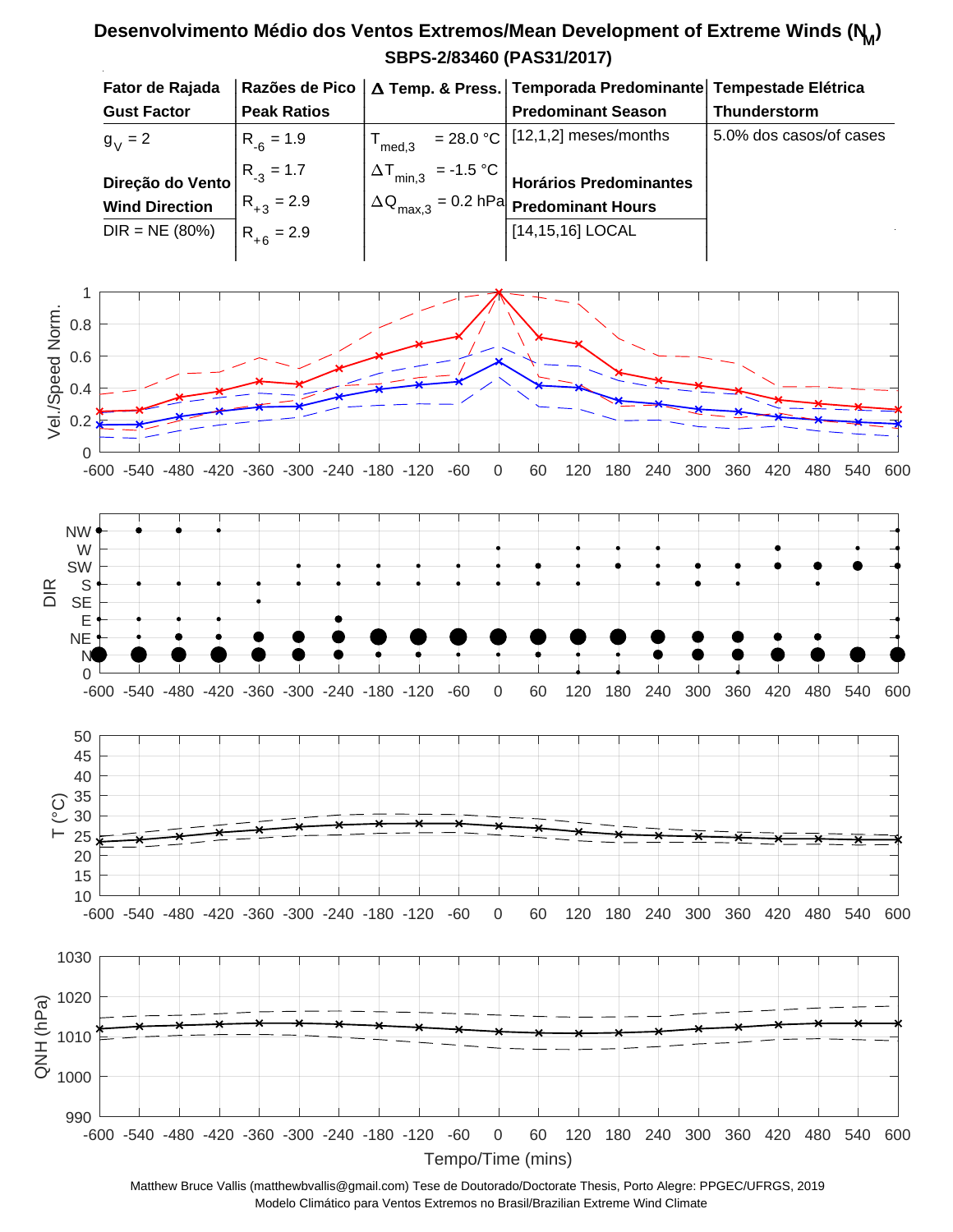## **SBPS-2/83460 (PAS31/2017) Desenvolvimento Médio dos Ventos Extremos/Mean Development of Extreme Winds (N<sup>M</sup> )**

| Fator de Rajada       |                    |                              | Razões de Pico   △ Temp. & Press.   Temporada Predominante   Tempestade Elétrica |                         |
|-----------------------|--------------------|------------------------------|----------------------------------------------------------------------------------|-------------------------|
| <b>Gust Factor</b>    | <b>Peak Ratios</b> |                              | <b>Predominant Season</b>                                                        | Thunderstorm            |
| $g_{V} = 2$           | $R_{-6} = 1.9$     | l<br>med.3                   | $= 28.0 °C$ [12,1,2] meses/months                                                | 5.0% dos casos/of cases |
| Direção do Vento      | $R_{-3} = 1.7$     | $\Delta T_{min,3}$ = -1.5 °C | <b>Horários Predominantes</b>                                                    |                         |
| <b>Wind Direction</b> | $R_{+3} = 2.9$     |                              | $\Delta Q_{\text{max.3}} = 0.2$ hPa Predominant Hours                            |                         |
| $DIR = NE (80%)$      | $R_{+6} = 2.9$     |                              | [14,15,16] LOCAL                                                                 |                         |
|                       |                    |                              |                                                                                  |                         |



Matthew Bruce Vallis (matthewbvallis@gmail.com) Tese de Doutorado/Doctorate Thesis, Porto Alegre: PPGEC/UFRGS, 2019 Modelo Climático para Ventos Extremos no Brasil/Brazilian Extreme Wind Climate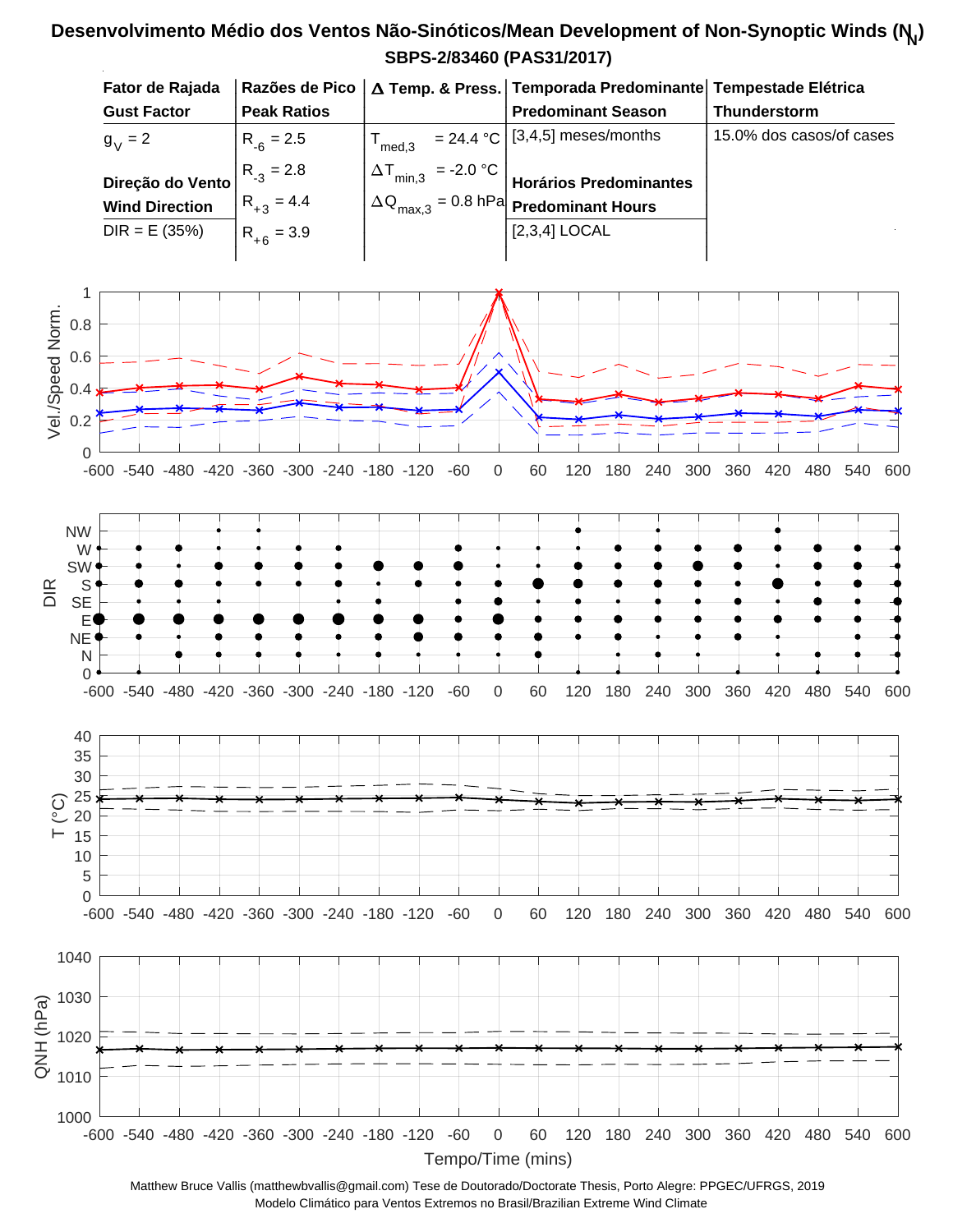## **SBPS-2/83460 (PAS31/2017) Desenvolvimento Médio dos Ventos Não-Sinóticos/Mean Development of Non-Synoptic Winds (N<sup>N</sup> )**



DIR

1000

1010

1020

QNH (hPa)



-600 -540 -480 -420 -360 -300 -240 -180 -120 -60 0 60 120 180 240 300 360 420 480 540 600